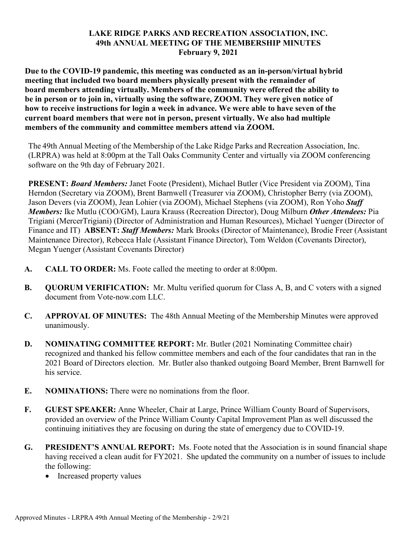## **LAKE RIDGE PARKS AND RECREATION ASSOCIATION, INC. 49th ANNUAL MEETING OF THE MEMBERSHIP MINUTES February 9, 2021**

**Due to the COVID-19 pandemic, this meeting was conducted as an in-person/virtual hybrid meeting that included two board members physically present with the remainder of board members attending virtually. Members of the community were offered the ability to be in person or to join in, virtually using the software, ZOOM. They were given notice of how to receive instructions for login a week in advance. We were able to have seven of the current board members that were not in person, present virtually. We also had multiple members of the community and committee members attend via ZOOM.**

The 49th Annual Meeting of the Membership of the Lake Ridge Parks and Recreation Association, Inc. (LRPRA) was held at 8:00pm at the Tall Oaks Community Center and virtually via ZOOM conferencing software on the 9th day of February 2021.

**PRESENT:** *Board Members:* Janet Foote (President), Michael Butler (Vice President via ZOOM), Tina Herndon (Secretary via ZOOM), Brent Barnwell (Treasurer via ZOOM), Christopher Berry (via ZOOM), Jason Devers (via ZOOM), Jean Lohier (via ZOOM), Michael Stephens (via ZOOM), Ron Yoho *Staff Members:* Ike Mutlu (COO/GM), Laura Krauss (Recreation Director), Doug Milburn *Other Attendees:* Pia Trigiani (MercerTrigiani) (Director of Administration and Human Resources), Michael Yuenger (Director of Finance and IT) **ABSENT:** *Staff Members:* Mark Brooks (Director of Maintenance), Brodie Freer (Assistant Maintenance Director), Rebecca Hale (Assistant Finance Director), Tom Weldon (Covenants Director), Megan Yuenger (Assistant Covenants Director)

- **A. CALL TO ORDER:** Ms. Foote called the meeting to order at 8:00pm.
- **B. QUORUM VERIFICATION:** Mr. Multu verified quorum for Class A, B, and C voters with a signed document from Vote-now.com LLC.
- **C. APPROVAL OF MINUTES:** The 48th Annual Meeting of the Membership Minutes were approved unanimously.
- **D. NOMINATING COMMITTEE REPORT:** Mr. Butler (2021 Nominating Committee chair) recognized and thanked his fellow committee members and each of the four candidates that ran in the 2021 Board of Directors election. Mr. Butler also thanked outgoing Board Member, Brent Barnwell for his service.
- **E. NOMINATIONS:** There were no nominations from the floor.
- **F. GUEST SPEAKER:** Anne Wheeler, Chair at Large, Prince William County Board of Supervisors, provided an overview of the Prince William County Capital Improvement Plan as well discussed the continuing initiatives they are focusing on during the state of emergency due to COVID-19.
- **G. PRESIDENT'S ANNUAL REPORT:** Ms. Foote noted that the Association is in sound financial shape having received a clean audit for FY2021. She updated the community on a number of issues to include the following:
	- Increased property values